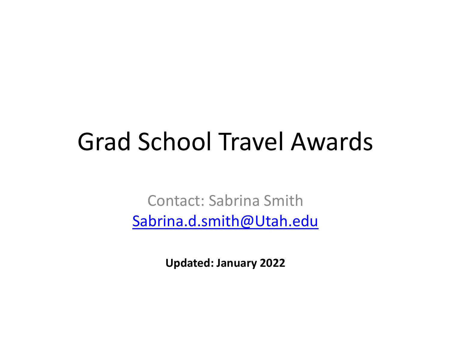#### Grad School Travel Awards

Contact: Sabrina Smith [Sabrina.d.smith@Utah.edu](mailto:Sabrina.d.smith@Utah.edu)

**Updated: January 2022**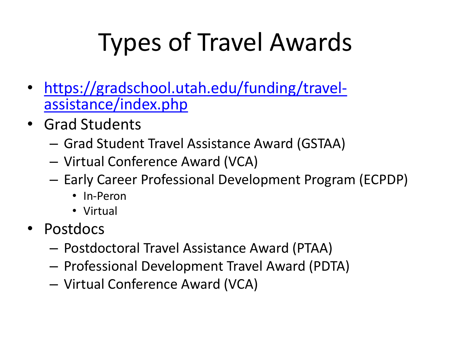# Types of Travel Awards

- [https://gradschool.utah.edu/funding/travel-](https://gradschool.utah.edu/funding/travel-assistance/index.php) assistance/index.php
- Grad Students
	- Grad Student Travel Assistance Award (GSTAA)
	- Virtual Conference Award (VCA)
	- Early Career Professional Development Program (ECPDP)
		- In-Peron
		- Virtual
- Postdocs
	- Postdoctoral Travel Assistance Award (PTAA)
	- Professional Development Travel Award (PDTA)
	- Virtual Conference Award (VCA)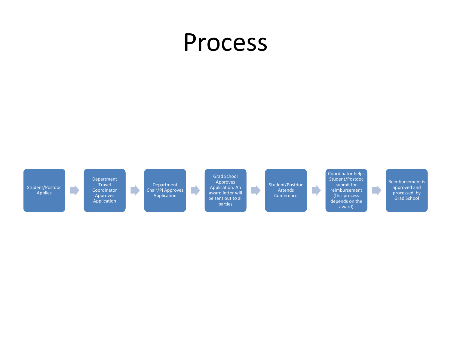#### Process

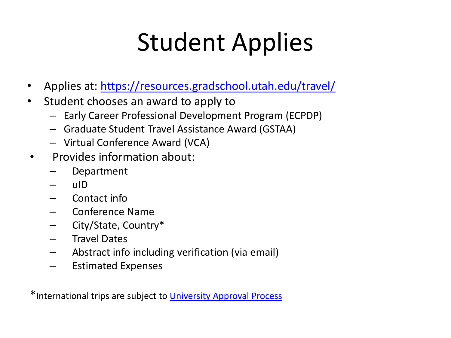### Student Applies

- Applies at: <https://resources.gradschool.utah.edu/travel/>
- Student chooses an award to apply to
	- Early Career Professional Development Program (ECPDP)
	- Graduate Student Travel Assistance Award (GSTAA)
	- Virtual Conference Award (VCA)
- Provides information about:
	- Department
	- uID
	- Contact info
	- Conference Name
	- City/State, Country\*
	- Travel Dates
	- Abstract info including verification (via email)
	- Estimated Expenses

\*International trips are subject to [University Approval Process](https://fbs.admin.utah.edu/travel/covid-19-updates/)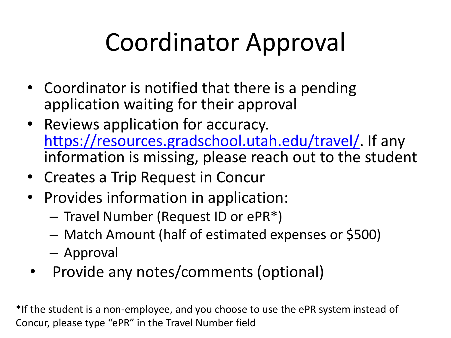## Coordinator Approval

- Coordinator is notified that there is a pending application waiting for their approval
- Reviews application for accuracy. <https://resources.gradschool.utah.edu/travel/>. If any information is missing, please reach out to the student
- Creates a Trip Request in Concur
- Provides information in application:
	- Travel Number (Request ID or ePR\*)
	- Match Amount (half of estimated expenses or \$500)
	- Approval
- Provide any notes/comments (optional)

\*If the student is a non-employee, and you choose to use the ePR system instead of Concur, please type "ePR" in the Travel Number field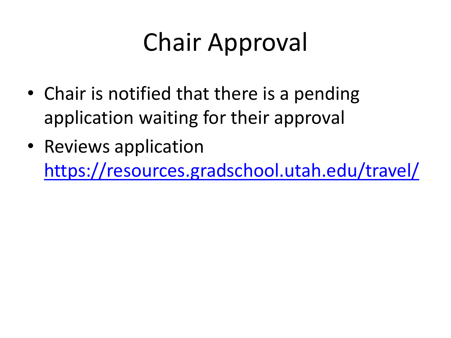# Chair Approval

- Chair is notified that there is a pending application waiting for their approval
- Reviews application <https://resources.gradschool.utah.edu/travel/>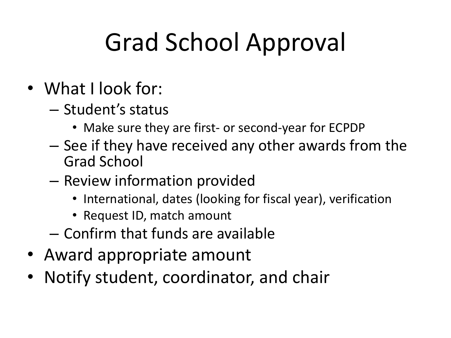# Grad School Approval

- What I look for:
	- Student's status
		- Make sure they are first- or second-year for ECPDP
	- See if they have received any other awards from the Grad School
	- Review information provided
		- International, dates (looking for fiscal year), verification
		- Request ID, match amount
	- Confirm that funds are available
- Award appropriate amount
- Notify student, coordinator, and chair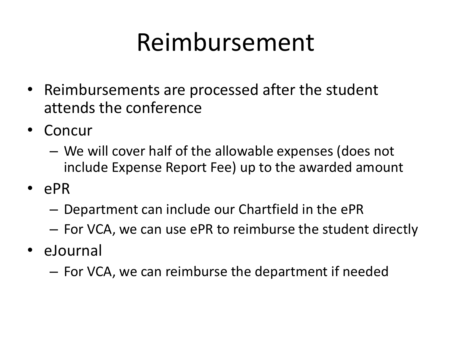#### Reimbursement

- Reimbursements are processed after the student attends the conference
- Concur
	- We will cover half of the allowable expenses (does not include Expense Report Fee) up to the awarded amount
- ePR
	- Department can include our Chartfield in the ePR
	- For VCA, we can use ePR to reimburse the student directly
- eJournal
	- For VCA, we can reimburse the department if needed